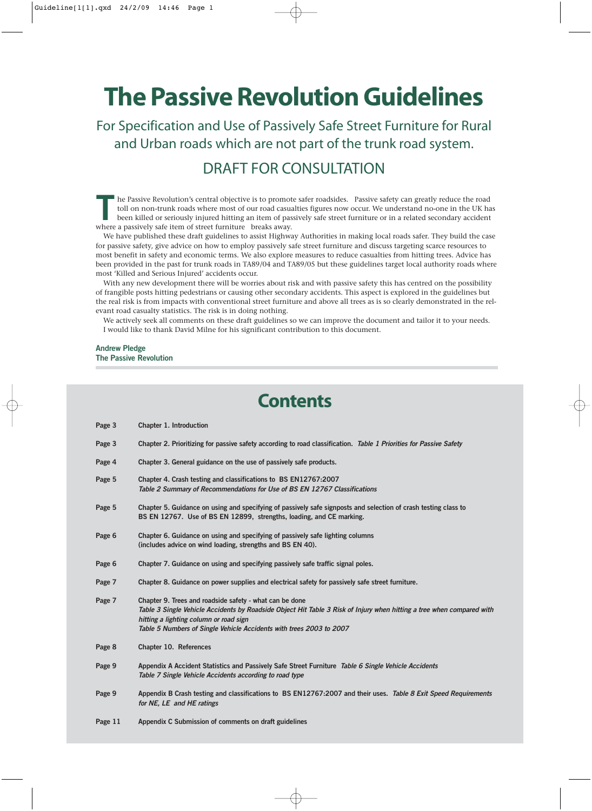# **The Passive Revolution Guidelines**

For Specification and Use of Passively Safe Street Furniture for Rural and Urban roads which are not part of the trunk road system.

# DRAFT FOR CONSULTATION

he Passive Revolution's central objective is to promote safer roadsides. Passive safety can greatly reduce the road<br>toll on non-trunk roads where most of our road casualties figures now occur. We understand no-one in the U toll on non-trunk roads where most of our road casualties figures now occur. We understand no-one in the UK has where a passively safe item of street furniture breaks away.

We have published these draft guidelines to assist Highway Authorities in making local roads safer. They build the case for passive safety, give advice on how to employ passively safe street furniture and discuss targeting scarce resources to most benefit in safety and economic terms. We also explore measures to reduce casualties from hitting trees. Advice has been provided in the past for trunk roads in TA89/04 and TA89/05 but these guidelines target local authority roads where most 'Killed and Serious Injured' accidents occur.

With any new development there will be worries about risk and with passive safety this has centred on the possibility of frangible posts hitting pedestrians or causing other secondary accidents. This aspect is explored in the guidelines but the real risk is from impacts with conventional street furniture and above all trees as is so clearly demonstrated in the relevant road casualty statistics. The risk is in doing nothing.

We actively seek all comments on these draft guidelines so we can improve the document and tailor it to your needs. I would like to thank David Milne for his significant contribution to this document.

# **Andrew Pledge The Passive Revolution**

# **Contents**

| Page 3 | Chapter 1. Introduction                                                                                                                                                                                                                                                                           |
|--------|---------------------------------------------------------------------------------------------------------------------------------------------------------------------------------------------------------------------------------------------------------------------------------------------------|
| Page 3 | Chapter 2. Prioritizing for passive safety according to road classification. Table 1 Priorities for Passive Safety                                                                                                                                                                                |
| Page 4 | Chapter 3. General guidance on the use of passively safe products.                                                                                                                                                                                                                                |
| Page 5 | Chapter 4. Crash testing and classifications to BS EN12767:2007<br>Table 2 Summary of Recommendations for Use of BS EN 12767 Classifications                                                                                                                                                      |
| Page 5 | Chapter 5. Guidance on using and specifying of passively safe signposts and selection of crash testing class to<br>BS EN 12767. Use of BS EN 12899, strengths, loading, and CE marking.                                                                                                           |
| Page 6 | Chapter 6. Guidance on using and specifying of passively safe lighting columns<br>(includes advice on wind loading, strengths and BS EN 40).                                                                                                                                                      |
| Page 6 | Chapter 7. Guidance on using and specifying passively safe traffic signal poles.                                                                                                                                                                                                                  |
| Page 7 | Chapter 8. Guidance on power supplies and electrical safety for passively safe street furniture.                                                                                                                                                                                                  |
| Page 7 | Chapter 9. Trees and roadside safety - what can be done<br>Table 3 Single Vehicle Accidents by Roadside Object Hit Table 3 Risk of Injury when hitting a tree when compared with<br>hitting a lighting column or road sign<br>Table 5 Numbers of Single Vehicle Accidents with trees 2003 to 2007 |
| Page 8 | Chapter 10. References                                                                                                                                                                                                                                                                            |
| Page 9 | Appendix A Accident Statistics and Passively Safe Street Furniture Table 6 Single Vehicle Accidents<br>Table 7 Single Vehicle Accidents according to road type                                                                                                                                    |
| Page 9 | Appendix B Crash testing and classifications to BS EN12767:2007 and their uses. Table 8 Exit Speed Requirements<br>for NE, LE and HE ratings                                                                                                                                                      |
|        |                                                                                                                                                                                                                                                                                                   |

**Page 11 Appendix C Submission of comments on draft guidelines**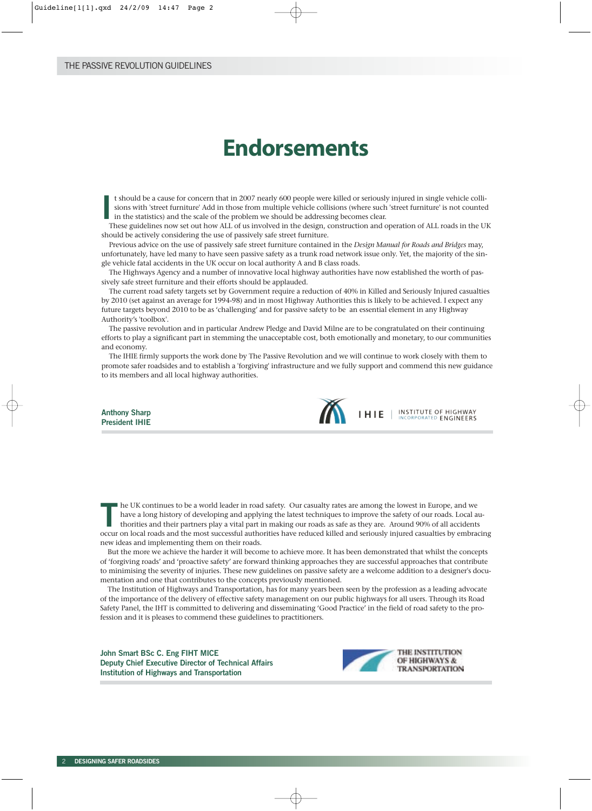# **Endorsements**

**I** t should be a cause for concern that in 2007 nearly 600 people were killed or seriously injured in single vehicle collisions with 'street furniture' Add in those from multiple vehicle collisions (where such 'street furniture' is not counted in the statistics) and the scale of the problem we should be addressing becomes clear.

These guidelines now set out how ALL of us involved in the design, construction and operation of ALL roads in the UK should be actively considering the use of passively safe street furniture.

Previous advice on the use of passively safe street furniture contained in the *Design Manual for Roads and Bridges* may, unfortunately, have led many to have seen passive safety as a trunk road network issue only. Yet, the majority of the single vehicle fatal accidents in the UK occur on local authority A and B class roads.

The Highways Agency and a number of innovative local highway authorities have now established the worth of passively safe street furniture and their efforts should be applauded.

The current road safety targets set by Government require a reduction of 40% in Killed and Seriously Injured casualties by 2010 (set against an average for 1994-98) and in most Highway Authorities this is likely to be achieved. I expect any future targets beyond 2010 to be as 'challenging' and for passive safety to be an essential element in any Highway Authority's 'toolbox'.

The passive revolution and in particular Andrew Pledge and David Milne are to be congratulated on their continuing efforts to play a significant part in stemming the unacceptable cost, both emotionally and monetary, to our communities and economy.

The IHIE firmly supports the work done by The Passive Revolution and we will continue to work closely with them to promote safer roadsides and to establish a 'forgiving' infrastructure and we fully support and commend this new guidance to its members and all local highway authorities.

**Anthony Sharp President IHIE**



**INSTITUTE OF HIGHWAY**<br>INCORPORATED **ENGINEERS** 

he UK continues to be a world leader in road safety. Our casualty rates are among the lowest in Europe, and we<br>have a long history of developing and applying the latest techniques to improve the safety of our roads. Local have a long history of developing and applying the latest techniques to improve the safety of our roads. Local auoccur on local roads and the most successful authorities have reduced killed and seriously injured casualties by embracing new ideas and implementing them on their roads.

But the more we achieve the harder it will become to achieve more. It has been demonstrated that whilst the concepts of 'forgiving roads' and 'proactive safety' are forward thinking approaches they are successful approaches that contribute to minimising the severity of injuries. These new guidelines on passive safety are a welcome addition to a designer's documentation and one that contributes to the concepts previously mentioned.

The Institution of Highways and Transportation, has for many years been seen by the profession as a leading advocate of the importance of the delivery of effective safety management on our public highways for all users. Through its Road Safety Panel, the IHT is committed to delivering and disseminating 'Good Practice' in the field of road safety to the profession and it is pleases to commend these guidelines to practitioners.

**John Smart BSc C. Eng FIHT MICE Deputy Chief Executive Director of Technical Affairs Institution of Highways and Transportation** 

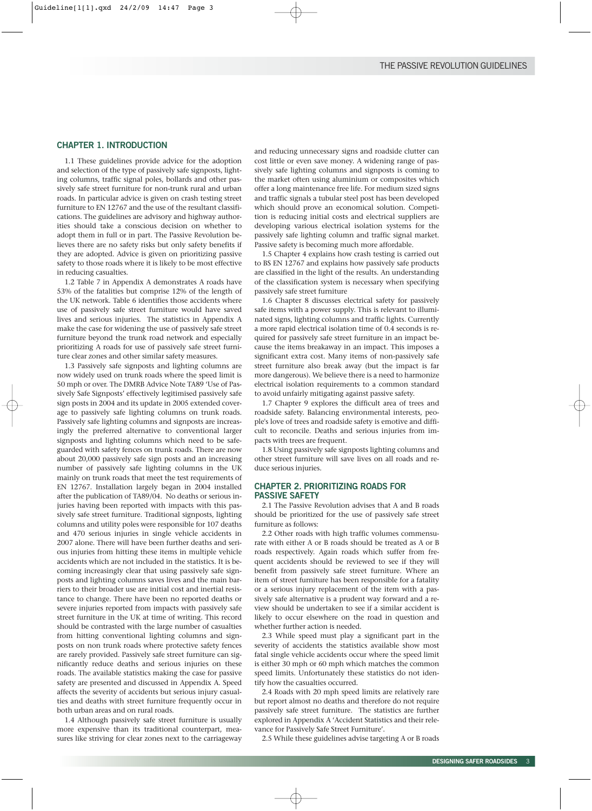# **CHAPTER 1. INTRODUCTION**

1.1 These guidelines provide advice for the adoption and selection of the type of passively safe signposts, lighting columns, traffic signal poles, bollards and other passively safe street furniture for non-trunk rural and urban roads. In particular advice is given on crash testing street furniture to EN 12767 and the use of the resultant classifications. The guidelines are advisory and highway authorities should take a conscious decision on whether to adopt them in full or in part. The Passive Revolution believes there are no safety risks but only safety benefits if they are adopted. Advice is given on prioritizing passive safety to those roads where it is likely to be most effective in reducing casualties.

1.2 Table 7 in Appendix A demonstrates A roads have 53% of the fatalities but comprise 12% of the length of the UK network. Table 6 identifies those accidents where use of passively safe street furniture would have saved lives and serious injuries. The statistics in Appendix A make the case for widening the use of passively safe street furniture beyond the trunk road network and especially prioritizing A roads for use of passively safe street furniture clear zones and other similar safety measures.

1.3 Passively safe signposts and lighting columns are now widely used on trunk roads where the speed limit is 50 mph or over. The DMRB Advice Note TA89 'Use of Passively Safe Signposts' effectively legitimised passively safe sign posts in 2004 and its update in 2005 extended coverage to passively safe lighting columns on trunk roads. Passively safe lighting columns and signposts are increasingly the preferred alternative to conventional larger signposts and lighting columns which need to be safeguarded with safety fences on trunk roads. There are now about 20,000 passively safe sign posts and an increasing number of passively safe lighting columns in the UK mainly on trunk roads that meet the test requirements of EN 12767. Installation largely began in 2004 installed after the publication of TA89/04. No deaths or serious injuries having been reported with impacts with this passively safe street furniture. Traditional signposts, lighting columns and utility poles were responsible for 107 deaths and 470 serious injuries in single vehicle accidents in 2007 alone. There will have been further deaths and serious injuries from hitting these items in multiple vehicle accidents which are not included in the statistics. It is becoming increasingly clear that using passively safe signposts and lighting columns saves lives and the main barriers to their broader use are initial cost and inertial resistance to change. There have been no reported deaths or severe injuries reported from impacts with passively safe street furniture in the UK at time of writing. This record should be contrasted with the large number of casualties from hitting conventional lighting columns and signposts on non trunk roads where protective safety fences are rarely provided. Passively safe street furniture can significantly reduce deaths and serious injuries on these roads. The available statistics making the case for passive safety are presented and discussed in Appendix A. Speed affects the severity of accidents but serious injury casualties and deaths with street furniture frequently occur in both urban areas and on rural roads.

1.4 Although passively safe street furniture is usually more expensive than its traditional counterpart, measures like striving for clear zones next to the carriageway and reducing unnecessary signs and roadside clutter can cost little or even save money. A widening range of passively safe lighting columns and signposts is coming to the market often using aluminium or composites which offer a long maintenance free life. For medium sized signs and traffic signals a tubular steel post has been developed which should prove an economical solution. Competition is reducing initial costs and electrical suppliers are developing various electrical isolation systems for the passively safe lighting column and traffic signal market. Passive safety is becoming much more affordable.

1.5 Chapter 4 explains how crash testing is carried out to BS EN 12767 and explains how passively safe products are classified in the light of the results. An understanding of the classification system is necessary when specifying passively safe street furniture

1.6 Chapter 8 discusses electrical safety for passively safe items with a power supply. This is relevant to illuminated signs, lighting columns and traffic lights. Currently a more rapid electrical isolation time of 0.4 seconds is required for passively safe street furniture in an impact because the items breakaway in an impact. This imposes a significant extra cost. Many items of non-passively safe street furniture also break away (but the impact is far more dangerous). We believe there is a need to harmonize electrical isolation requirements to a common standard to avoid unfairly mitigating against passive safety.

1.7 Chapter 9 explores the difficult area of trees and roadside safety. Balancing environmental interests, people's love of trees and roadside safety is emotive and difficult to reconcile. Deaths and serious injuries from impacts with trees are frequent.

1.8 Using passively safe signposts lighting columns and other street furniture will save lives on all roads and reduce serious injuries.

# **CHAPTER 2. PRIORITIZING ROADS FOR PASSIVE SAFETY**

2.1 The Passive Revolution advises that A and B roads should be prioritized for the use of passively safe street furniture as follows:

2.2 Other roads with high traffic volumes commensurate with either A or B roads should be treated as A or B roads respectively. Again roads which suffer from frequent accidents should be reviewed to see if they will benefit from passively safe street furniture. Where an item of street furniture has been responsible for a fatality or a serious injury replacement of the item with a passively safe alternative is a prudent way forward and a review should be undertaken to see if a similar accident is likely to occur elsewhere on the road in question and whether further action is needed.

2.3 While speed must play a significant part in the severity of accidents the statistics available show most fatal single vehicle accidents occur where the speed limit is either 30 mph or 60 mph which matches the common speed limits. Unfortunately these statistics do not identify how the casualties occurred.

2.4 Roads with 20 mph speed limits are relatively rare but report almost no deaths and therefore do not require passively safe street furniture. The statistics are further explored in Appendix A 'Accident Statistics and their relevance for Passively Safe Street Furniture'.

2.5 While these guidelines advise targeting A or B roads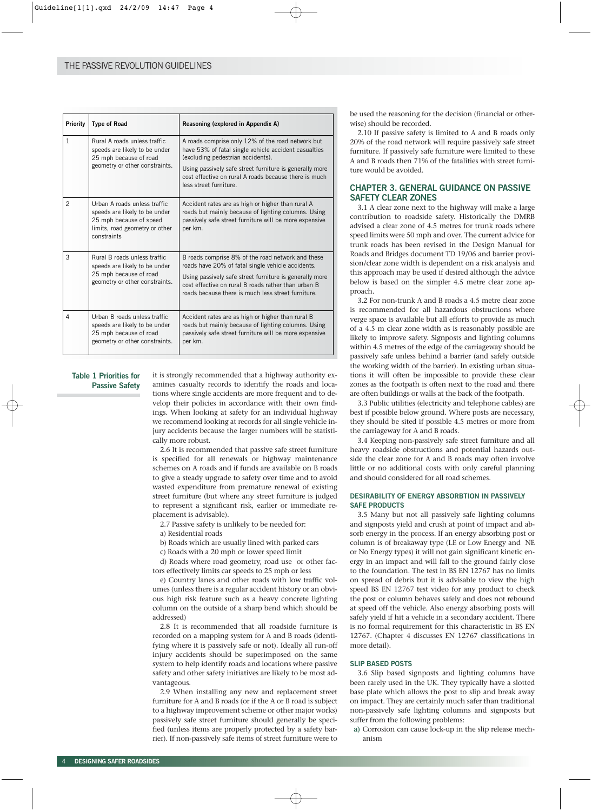| Priority       | <b>Type of Road</b>                                                                                                                       | Reasoning (explored in Appendix A)                                                                                                                                                                                                                                                           |
|----------------|-------------------------------------------------------------------------------------------------------------------------------------------|----------------------------------------------------------------------------------------------------------------------------------------------------------------------------------------------------------------------------------------------------------------------------------------------|
| 1              | Rural A roads unless traffic<br>speeds are likely to be under<br>25 mph because of road<br>geometry or other constraints.                 | A roads comprise only 12% of the road network but<br>have 53% of fatal single vehicle accident casualties<br>(excluding pedestrian accidents).<br>Using passively safe street furniture is generally more<br>cost effective on rural A roads because there is much<br>less street furniture. |
| $\overline{2}$ | Urban A roads unless traffic<br>speeds are likely to be under<br>25 mph because of speed<br>limits, road geometry or other<br>constraints | Accident rates are as high or higher than rural A<br>roads but mainly because of lighting columns. Using<br>passively safe street furniture will be more expensive<br>per km.                                                                                                                |
| 3              | Rural B roads unless traffic<br>speeds are likely to be under<br>25 mph because of road<br>geometry or other constraints.                 | B roads comprise 8% of the road network and these<br>roads have 20% of fatal single vehicle accidents.<br>Using passively safe street furniture is generally more<br>cost effective on rural B roads rather than urban B<br>roads because there is much less street furniture.               |
| 4              | Urban B roads unless traffic<br>speeds are likely to be under<br>25 mph because of road<br>geometry or other constraints.                 | Accident rates are as high or higher than rural B<br>roads but mainly because of lighting columns. Using<br>passively safe street furniture will be more expensive<br>per km.                                                                                                                |

# **Table 1 Priorities for Passive Safety**

it is strongly recommended that a highway authority examines casualty records to identify the roads and locations where single accidents are more frequent and to develop their policies in accordance with their own findings. When looking at safety for an individual highway we recommend looking at records for all single vehicle injury accidents because the larger numbers will be statistically more robust.

2.6 It is recommended that passive safe street furniture is specified for all renewals or highway maintenance schemes on A roads and if funds are available on B roads to give a steady upgrade to safety over time and to avoid wasted expenditure from premature renewal of existing street furniture (but where any street furniture is judged to represent a significant risk, earlier or immediate replacement is advisable).

2.7 Passive safety is unlikely to be needed for:

a) Residential roads

b) Roads which are usually lined with parked cars

c) Roads with a 20 mph or lower speed limit

d) Roads where road geometry, road use or other factors effectively limits car speeds to 25 mph or less

e) Country lanes and other roads with low traffic volumes (unless there is a regular accident history or an obvious high risk feature such as a heavy concrete lighting column on the outside of a sharp bend which should be addressed)

2.8 It is recommended that all roadside furniture is recorded on a mapping system for A and B roads (identifying where it is passively safe or not). Ideally all run-off injury accidents should be superimposed on the same system to help identify roads and locations where passive safety and other safety initiatives are likely to be most advantageous.

2.9 When installing any new and replacement street furniture for A and B roads (or if the A or B road is subject to a highway improvement scheme or other major works) passively safe street furniture should generally be specified (unless items are properly protected by a safety barrier). If non-passively safe items of street furniture were to

be used the reasoning for the decision (financial or otherwise) should be recorded.

2.10 If passive safety is limited to A and B roads only 20% of the road network will require passively safe street furniture. If passively safe furniture were limited to these A and B roads then 71% of the fatalities with street furniture would be avoided.

# **CHAPTER 3. GENERAL GUIDANCE ON PASSIVE SAFETY CLEAR ZONES**

3.1 A clear zone next to the highway will make a large contribution to roadside safety. Historically the DMRB advised a clear zone of 4.5 metres for trunk roads where speed limits were 50 mph and over. The current advice for trunk roads has been revised in the Design Manual for Roads and Bridges document TD 19/06 and barrier provision/clear zone width is dependent on a risk analysis and this approach may be used if desired although the advice below is based on the simpler 4.5 metre clear zone approach.

3.2 For non-trunk A and B roads a 4.5 metre clear zone is recommended for all hazardous obstructions where verge space is available but all efforts to provide as much of a 4.5 m clear zone width as is reasonably possible are likely to improve safety. Signposts and lighting columns within 4.5 metres of the edge of the carriageway should be passively safe unless behind a barrier (and safely outside the working width of the barrier). In existing urban situations it will often be impossible to provide these clear zones as the footpath is often next to the road and there are often buildings or walls at the back of the footpath.

3.3 Public utilities (electricity and telephone cables) are best if possible below ground. Where posts are necessary, they should be sited if possible 4.5 metres or more from the carriageway for A and B roads.

3.4 Keeping non-passively safe street furniture and all heavy roadside obstructions and potential hazards outside the clear zone for A and B roads may often involve little or no additional costs with only careful planning and should considered for all road schemes.

# **DESIRABILITY OF ENERGY ABSORBTION IN PASSIVELY SAFE PRODUCTS**

3.5 Many but not all passively safe lighting columns and signposts yield and crush at point of impact and absorb energy in the process. If an energy absorbing post or column is of breakaway type (LE or Low Energy and NE or No Energy types) it will not gain significant kinetic energy in an impact and will fall to the ground fairly close to the foundation. The test in BS EN 12767 has no limits on spread of debris but it is advisable to view the high speed BS EN 12767 test video for any product to check the post or column behaves safely and does not rebound at speed off the vehicle. Also energy absorbing posts will safely yield if hit a vehicle in a secondary accident. There is no formal requirement for this characteristic in BS EN 12767. (Chapter 4 discusses EN 12767 classifications in more detail).

#### **SLIP BASED POSTS**

3.6 Slip based signposts and lighting columns have been rarely used in the UK. They typically have a slotted base plate which allows the post to slip and break away on impact. They are certainly much safer than traditional non-passively safe lighting columns and signposts but suffer from the following problems:

**a)** Corrosion can cause lock-up in the slip release mechanism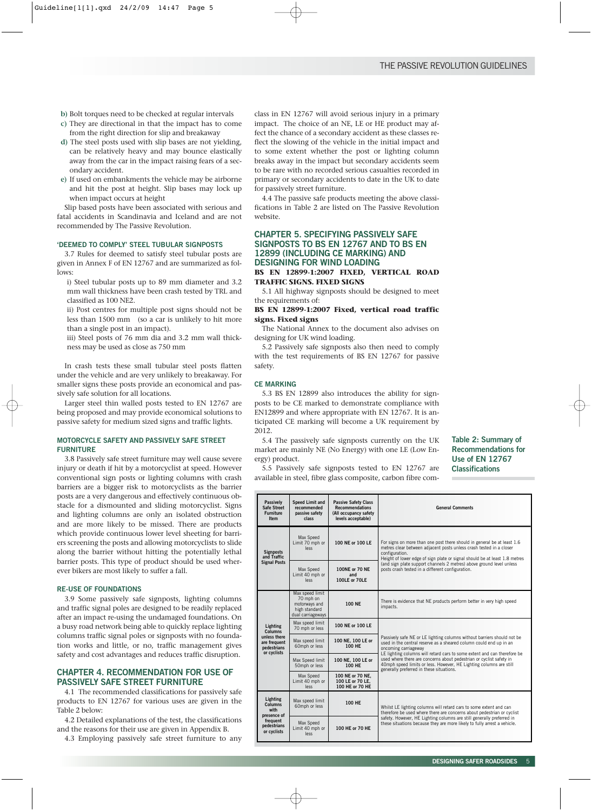- **b)** Bolt torques need to be checked at regular intervals
- **c)** They are directional in that the impact has to come from the right direction for slip and breakaway
- **d)** The steel posts used with slip bases are not yielding, can be relatively heavy and may bounce elastically away from the car in the impact raising fears of a secondary accident.
- **e)** If used on embankments the vehicle may be airborne and hit the post at height. Slip bases may lock up when impact occurs at height

Slip based posts have been associated with serious and fatal accidents in Scandinavia and Iceland and are not recommended by The Passive Revolution.

## **'DEEMED TO COMPLY' STEEL TUBULAR SIGNPOSTS**

3.7 Rules for deemed to satisfy steel tubular posts are given in Annex F of EN 12767 and are summarized as follows:

i) Steel tubular posts up to 89 mm diameter and 3.2 mm wall thickness have been crash tested by TRL and classified as 100 NE2.

ii) Post centres for multiple post signs should not be less than 1500 mm (so a car is unlikely to hit more than a single post in an impact).

iii) Steel posts of 76 mm dia and 3.2 mm wall thickness may be used as close as 750 mm

In crash tests these small tubular steel posts flatten under the vehicle and are very unlikely to breakaway. For smaller signs these posts provide an economical and passively safe solution for all locations.

Larger steel thin walled posts tested to EN 12767 are being proposed and may provide economical solutions to passive safety for medium sized signs and traffic lights.

#### **MOTORCYCLE SAFETY AND PASSIVELY SAFE STREET FURNITURE**

3.8 Passively safe street furniture may well cause severe injury or death if hit by a motorcyclist at speed. However conventional sign posts or lighting columns with crash barriers are a bigger risk to motorcyclists as the barrier posts are a very dangerous and effectively continuous obstacle for a dismounted and sliding motorcyclist. Signs and lighting columns are only an isolated obstruction and are more likely to be missed. There are products which provide continuous lower level sheeting for barriers screening the posts and allowing motorcyclists to slide along the barrier without hitting the potentially lethal barrier posts. This type of product should be used wherever bikers are most likely to suffer a fall.

## **RE-USE OF FOUNDATIONS**

3.9 Some passively safe signposts, lighting columns and traffic signal poles are designed to be readily replaced after an impact re-using the undamaged foundations. On a busy road network being able to quickly replace lighting columns traffic signal poles or signposts with no foundation works and little, or no, traffic management gives safety and cost advantages and reduces traffic disruption.

# **CHAPTER 4. RECOMMENDATION FOR USE OF PASSIVELY SAFE STREET FURNITURE**

4.1 The recommended classifications for passively safe products to EN 12767 for various uses are given in the Table 2 below:

4.2 Detailed explanations of the test, the classifications and the reasons for their use are given in Appendix B.

4.3 Employing passively safe street furniture to any

class in EN 12767 will avoid serious injury in a primary impact. The choice of an NE, LE or HE product may affect the chance of a secondary accident as these classes reflect the slowing of the vehicle in the initial impact and to some extent whether the post or lighting column breaks away in the impact but secondary accidents seem to be rare with no recorded serious casualties recorded in primary or secondary accidents to date in the UK to date for passively street furniture.

4.4 The passive safe products meeting the above classifications in Table 2 are listed on The Passive Revolution website.

# **CHAPTER 5. SPECIFYING PASSIVELY SAFE SIGNPOSTS TO BS EN 12767 AND TO BS EN 12899 (INCLUDING CE MARKING) AND DESIGNING FOR WIND LOADING**

#### **BS EN 12899-1:2007 FIXED, VERTICAL ROAD TRAFFIC SIGNS. FIXED SIGNS**

5.1 All highway signposts should be designed to meet the requirements of:

## **BS EN 12899-1:2007 Fixed, vertical road traffic signs. Fixed signs**

The National Annex to the document also advises on designing for UK wind loading.

5.2 Passively safe signposts also then need to comply with the test requirements of BS EN 12767 for passive safety.

#### **CE MARKING**

5.3 BS EN 12899 also introduces the ability for signposts to be CE marked to demonstrate compliance with EN12899 and where appropriate with EN 12767. It is anticipated CE marking will become a UK requirement by 2012.

5.4 The passively safe signposts currently on the UK market are mainly NE (No Energy) with one LE (Low Energy) product.

**Table 2: Summary of Recommendations for Use of EN 12767 Classifications**

5.5 Passively safe signposts tested to EN 12767 are available in steel, fibre glass composite, carbon fibre com-

| <b>Passively</b><br>Safe Street<br><b>Furniture</b><br><b>Item</b> | <b>Speed Limit and</b><br>recommended<br>passive safety<br>class                    | <b>Passive Safety Class</b><br><b>Recommendations</b><br>(All occupancy safety<br>levels acceptable) | <b>General Comments</b>                                                                                                                                                                                                                                                                                                                                                                                                                    |  |  |  |
|--------------------------------------------------------------------|-------------------------------------------------------------------------------------|------------------------------------------------------------------------------------------------------|--------------------------------------------------------------------------------------------------------------------------------------------------------------------------------------------------------------------------------------------------------------------------------------------------------------------------------------------------------------------------------------------------------------------------------------------|--|--|--|
| <b>Signposts</b><br>and Traffic                                    | Max Speed<br>Limit 70 mph or<br><b>PSS</b>                                          | 100 NE or 100 LE                                                                                     | For signs on more than one post there should in general be at least 1.6<br>metres clear between adiacent posts unless crash tested in a closer<br>configuration.<br>Height of lower edge of sign plate or signal should be at least 1.8 metres                                                                                                                                                                                             |  |  |  |
| <b>Signal Posts</b>                                                | Max Speed<br>Limit 40 mph or<br><b>Jess</b>                                         | 100NE or 70 NE<br>and<br>100LE or 70LE                                                               | (and sign plate support channels 2 metres) above ground level unless<br>posts crash tested in a different configuration.                                                                                                                                                                                                                                                                                                                   |  |  |  |
|                                                                    | Max speed limit<br>70 mph on<br>motorways and<br>high standard<br>dual carriageways | <b>100 NE</b>                                                                                        | There is evidence that NE products perform better in very high speed<br>impacts.                                                                                                                                                                                                                                                                                                                                                           |  |  |  |
| Lighting<br>Columns                                                | Max speed limit<br>70 mph or less                                                   | 100 NE or 100 LE                                                                                     | Passively safe NE or LE lighting columns without barriers should not be<br>used in the central reserve as a sheared column could end up in an<br>oncoming carriageway<br>LE lighting columns will retard cars to some extent and can therefore be<br>used where there are concerns about pedestrian or cyclist safety in<br>40mph speed limits or less. However, HE Lighting columns are still<br>generally preferred in these situations. |  |  |  |
| unless there<br>are frequent<br>pedestrians<br>or cyclists         | Max speed limit<br>60mph or less                                                    | 100 NE. 100 LE or<br>100 HF                                                                          |                                                                                                                                                                                                                                                                                                                                                                                                                                            |  |  |  |
|                                                                    | Max Speed limit<br>50mph or less                                                    | 100 NE. 100 LE or<br>100 HF                                                                          |                                                                                                                                                                                                                                                                                                                                                                                                                                            |  |  |  |
|                                                                    | Max Speed<br>Limit 40 mph or<br>less                                                | 100 NE or 70 NE.<br>100 LE or 70 LE,<br>100 HE or 70 HE                                              |                                                                                                                                                                                                                                                                                                                                                                                                                                            |  |  |  |
| Lighting<br><b>Columns</b><br>with                                 | Max speed limit<br>60mph or less                                                    | 100 HF                                                                                               | Whilst LE lighting columns will retard cars to some extent and can<br>therefore be used where there are concerns about pedestrian or cyclist                                                                                                                                                                                                                                                                                               |  |  |  |
| frequent<br>pedestrians<br>or cyclists                             | presence of<br>Max Speed<br>100 HE or 70 HE<br>Limit 40 mph or<br><b>JASS</b>       |                                                                                                      | safety. However, HE Lighting columns are still generally preferred in<br>these situations because they are more likely to fully arrest a vehicle.                                                                                                                                                                                                                                                                                          |  |  |  |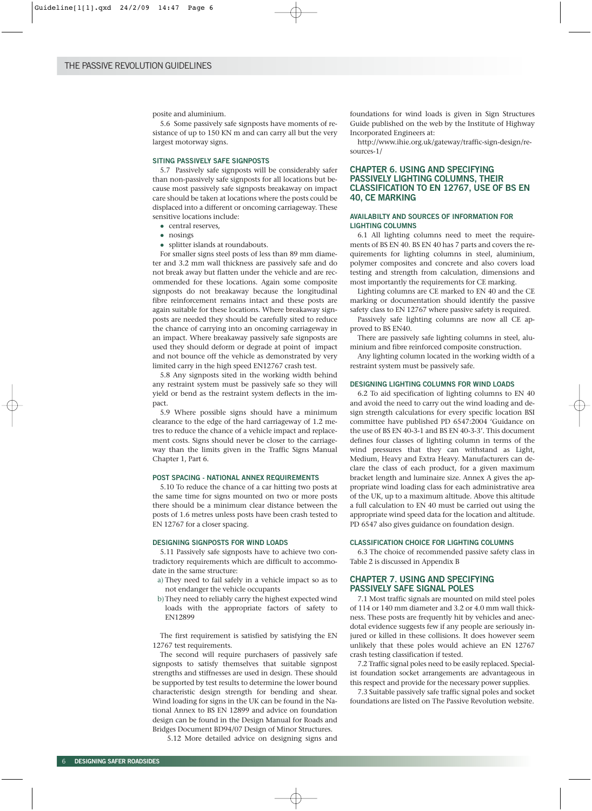posite and aluminium.

5.6 Some passively safe signposts have moments of resistance of up to 150 KN m and can carry all but the very largest motorway signs.

#### **SITING PASSIVELY SAFE SIGNPOSTS**

5.7 Passively safe signposts will be considerably safer than non-passively safe signposts for all locations but because most passively safe signposts breakaway on impact care should be taken at locations where the posts could be displaced into a different or oncoming carriageway. These sensitive locations include:

- central reserves,
- nosings
- splitter islands at roundabouts.

For smaller signs steel posts of less than 89 mm diameter and 3.2 mm wall thickness are passively safe and do not break away but flatten under the vehicle and are recommended for these locations. Again some composite signposts do not breakaway because the longitudinal fibre reinforcement remains intact and these posts are again suitable for these locations. Where breakaway signposts are needed they should be carefully sited to reduce the chance of carrying into an oncoming carriageway in an impact. Where breakaway passively safe signposts are used they should deform or degrade at point of impact and not bounce off the vehicle as demonstrated by very limited carry in the high speed EN12767 crash test.

5.8 Any signposts sited in the working width behind any restraint system must be passively safe so they will yield or bend as the restraint system deflects in the impact.

5.9 Where possible signs should have a minimum clearance to the edge of the hard carriageway of 1.2 metres to reduce the chance of a vehicle impact and replacement costs. Signs should never be closer to the carriageway than the limits given in the Traffic Signs Manual Chapter 1, Part 6.

#### **POST SPACING - NATIONAL ANNEX REQUIREMENTS**

5.10 To reduce the chance of a car hitting two posts at the same time for signs mounted on two or more posts there should be a minimum clear distance between the posts of 1.6 metres unless posts have been crash tested to EN 12767 for a closer spacing.

#### **DESIGNING SIGNPOSTS FOR WIND LOADS**

5.11 Passively safe signposts have to achieve two contradictory requirements which are difficult to accommodate in the same structure:

- a) They need to fail safely in a vehicle impact so as to not endanger the vehicle occupants
- b)They need to reliably carry the highest expected wind loads with the appropriate factors of safety to EN12899

The first requirement is satisfied by satisfying the EN 12767 test requirements.

The second will require purchasers of passively safe signposts to satisfy themselves that suitable signpost strengths and stiffnesses are used in design. These should be supported by test results to determine the lower bound characteristic design strength for bending and shear. Wind loading for signs in the UK can be found in the National Annex to BS EN 12899 and advice on foundation design can be found in the Design Manual for Roads and Bridges Document BD94/07 Design of Minor Structures.

5.12 More detailed advice on designing signs and

foundations for wind loads is given in Sign Structures Guide published on the web by the Institute of Highway Incorporated Engineers at:

http://www.ihie.org.uk/gateway/traffic-sign-design/resources-1/

# **CHAPTER 6. USING AND SPECIFYING PASSIVELY LIGHTING COLUMNS, THEIR CLASSIFICATION TO EN 12767, USE OF BS EN 40, CE MARKING**

## **AVAILABILTY AND SOURCES OF INFORMATION FOR LIGHTING COLUMNS**

6.1 All lighting columns need to meet the requirements of BS EN 40. BS EN 40 has 7 parts and covers the requirements for lighting columns in steel, aluminium, polymer composites and concrete and also covers load testing and strength from calculation, dimensions and most importantly the requirements for CE marking.

Lighting columns are CE marked to EN 40 and the CE marking or documentation should identify the passive safety class to EN 12767 where passive safety is required.

Passively safe lighting columns are now all CE approved to BS EN40.

There are passively safe lighting columns in steel, aluminium and fibre reinforced composite construction.

Any lighting column located in the working width of a restraint system must be passively safe.

#### **DESIGNING LIGHTING COLUMNS FOR WIND LOADS**

6.2 To aid specification of lighting columns to EN 40 and avoid the need to carry out the wind loading and design strength calculations for every specific location BSI committee have published PD 6547:2004 'Guidance on the use of BS EN 40-3-1 and BS EN 40-3-3'. This document defines four classes of lighting column in terms of the wind pressures that they can withstand as Light, Medium, Heavy and Extra Heavy. Manufacturers can declare the class of each product, for a given maximum bracket length and luminaire size. Annex A gives the appropriate wind loading class for each administrative area of the UK, up to a maximum altitude. Above this altitude a full calculation to EN 40 must be carried out using the appropriate wind speed data for the location and altitude. PD 6547 also gives guidance on foundation design.

#### **CLASSIFICATION CHOICE FOR LIGHTING COLUMNS**

6.3 The choice of recommended passive safety class in Table 2 is discussed in Appendix B

# **CHAPTER 7. USING AND SPECIFYING PASSIVELY SAFE SIGNAL POLES**

7.1 Most traffic signals are mounted on mild steel poles of 114 or 140 mm diameter and 3.2 or 4.0 mm wall thickness. These posts are frequently hit by vehicles and anecdotal evidence suggests few if any people are seriously injured or killed in these collisions. It does however seem unlikely that these poles would achieve an EN 12767 crash testing classification if tested.

7.2 Traffic signal poles need to be easily replaced. Specialist foundation socket arrangements are advantageous in this respect and provide for the necessary power supplies.

7.3 Suitable passively safe traffic signal poles and socket foundations are listed on The Passive Revolution website.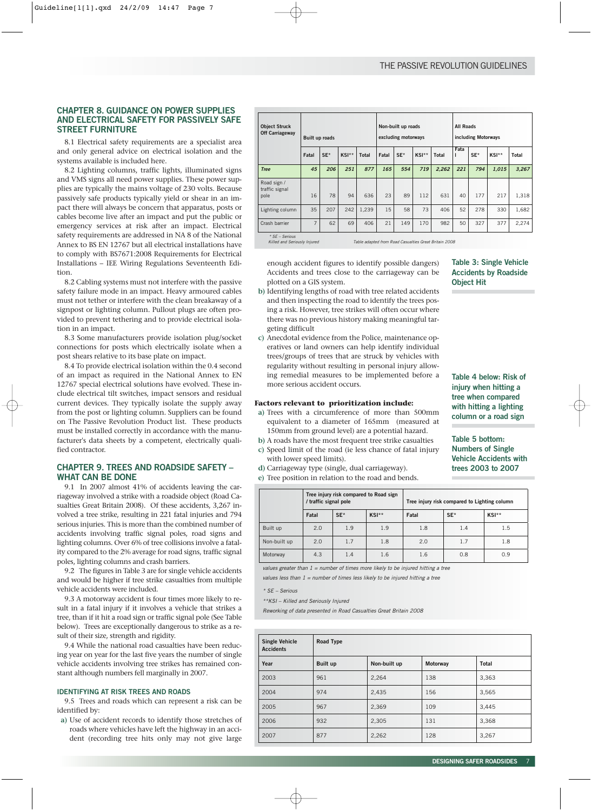# **CHAPTER 8. GUIDANCE ON POWER SUPPLIES AND ELECTRICAL SAFETY FOR PASSIVELY SAFE STREET FURNITURE**

8.1 Electrical safety requirements are a specialist area and only general advice on electrical isolation and the systems available is included here.

8.2 Lighting columns, traffic lights, illuminated signs and VMS signs all need power supplies. These power supplies are typically the mains voltage of 230 volts. Because passively safe products typically yield or shear in an impact there will always be concern that apparatus, posts or cables become live after an impact and put the public or emergency services at risk after an impact. Electrical safety requirements are addressed in NA 8 of the National Annex to BS EN 12767 but all electrical installations have to comply with BS7671:2008 Requirements for Electrical Installations – IEE Wiring Regulations Seventeenth Edition.

8.2 Cabling systems must not interfere with the passive safety failure mode in an impact. Heavy armoured cables must not tether or interfere with the clean breakaway of a signpost or lighting column. Pullout plugs are often provided to prevent tethering and to provide electrical isolation in an impact.

8.3 Some manufacturers provide isolation plug/socket connections for posts which electrically isolate when a post shears relative to its base plate on impact.

8.4 To provide electrical isolation within the 0.4 second of an impact as required in the National Annex to EN 12767 special electrical solutions have evolved. These include electrical tilt switches, impact sensors and residual current devices. They typically isolate the supply away from the post or lighting column. Suppliers can be found on The Passive Revolution Product list. These products must be installed correctly in accordance with the manufacturer's data sheets by a competent, electrically qualified contractor.

# **CHAPTER 9. TREES AND ROADSIDE SAFETY – WHAT CAN BE DONE**

9.1 In 2007 almost 41% of accidents leaving the carriageway involved a strike with a roadside object (Road Casualties Great Britain 2008). Of these accidents, 3,267 involved a tree strike, resulting in 221 fatal injuries and 794 serious injuries. This is more than the combined number of accidents involving traffic signal poles, road signs and lighting columns. Over 6% of tree collisions involve a fatality compared to the 2% average for road signs, traffic signal poles, lighting columns and crash barriers.

9.2 The figures in Table 3 are for single vehicle accidents and would be higher if tree strike casualties from multiple vehicle accidents were included.

9.3 A motorway accident is four times more likely to result in a fatal injury if it involves a vehicle that strikes a tree, than if it hit a road sign or traffic signal pole (See Table below). Trees are exceptionally dangerous to strike as a result of their size, strength and rigidity.

9.4 While the national road casualties have been reducing year on year for the last five years the number of single vehicle accidents involving tree strikes has remained constant although numbers fell marginally in 2007.

#### **IDENTIFYING AT RISK TREES AND ROADS**

9.5 Trees and roads which can represent a risk can be identified by:

**a)** Use of accident records to identify those stretches of roads where vehicles have left the highway in an accident (recording tree hits only may not give large

| <b>Object Struck</b><br><b>Off Carriageway</b> | <b>Built up roads</b>                   |     |     |       | Non-built up roads<br>excluding motorways |       |              |           | <b>All Roads</b><br>including Motorways |       |              |       |
|------------------------------------------------|-----------------------------------------|-----|-----|-------|-------------------------------------------|-------|--------------|-----------|-----------------------------------------|-------|--------------|-------|
|                                                | SE*<br>$KSI**$<br>Fatal<br><b>Total</b> |     |     | Fatal | SE*                                       | KSI** | <b>Total</b> | Fata<br>ı | SE*                                     | KSI** | <b>Total</b> |       |
| <b>Tree</b>                                    | 45                                      | 206 | 251 | 877   | 165                                       | 554   | 719          | 2,262     | 221                                     | 794   | 1.015        | 3,267 |
| Road sign /<br>traffic signal<br>pole          | 16                                      | 78  | 94  | 636   | 23                                        | 89    | 112          | 631       | 40                                      | 177   | 217          | 1,318 |
| Lighting column                                | 35                                      | 207 | 242 | 1,239 | 15                                        | 58    | 73           | 406       | 52                                      | 278   | 330          | 1,682 |
| Crash barrier                                  | 7                                       | 62  | 69  | 406   | 21                                        | 149   | 170          | 982       | 50                                      | 327   | 377          | 2,274 |

\* SE – Serious

Table adapted from Road Casualties Great Britain 2008

enough accident figures to identify possible dangers) Accidents and trees close to the carriageway can be plotted on a GIS system.

- **b)** Identifying lengths of road with tree related accidents and then inspecting the road to identify the trees posing a risk. However, tree strikes will often occur where there was no previous history making meaningful targeting difficult
- **c)** Anecdotal evidence from the Police, maintenance operatives or land owners can help identify individual trees/groups of trees that are struck by vehicles with regularity without resulting in personal injury allowing remedial measures to be implemented before a more serious accident occurs.

### **Factors relevant to prioritization include:**

- **a)** Trees with a circumference of more than 500mm equivalent to a diameter of 165mm (measured at 150mm from ground level) are a potential hazard.
- **b)** A roads have the most frequent tree strike casualties
- **c)** Speed limit of the road (ie less chance of fatal injury with lower speed limits).
- **d)** Carriageway type (single, dual carriageway).
- **e)** Tree position in relation to the road and bends.

**Table 3: Single Vehicle Accidents by Roadside Object Hit**

**Table 4 below: Risk of injury when hitting a tree when compared with hitting a lighting column or a road sign**

# **Table 5 bottom: Numbers of Single Vehicle Accidents with trees 2003 to 2007**

|              | / traffic signal pole | Tree injury risk compared to Road sign |       | Tree injury risk compared to Lighting column |       |       |  |
|--------------|-----------------------|----------------------------------------|-------|----------------------------------------------|-------|-------|--|
|              | Fatal                 | $SE*$                                  | KSI** | Fatal                                        | $SE*$ | KSI** |  |
| Built up     | 2.0                   | 1.9                                    | 1.9   | 1.8                                          | 1.4   | 1.5   |  |
| Non-built up | 2.0                   | 1.7                                    | 1.8   | 2.0                                          | 1.7   | 1.8   |  |
| Motorway     | 4.3                   | 1.4                                    | 1.6   | 1.6                                          | 0.8   | 0.9   |  |

values greater than  $1 =$  number of times more likely to be injured hitting a tree

values less than  $1 =$  number of times less likely to be injured hitting a tree

\* SE – Serious

\*\*KSI – Killed and Seriously Injured

Reworking of data presented in Road Casualties Great Britain 2008

| <b>Single Vehicle</b><br><b>Accidents</b> | Road Type       |              |          |              |
|-------------------------------------------|-----------------|--------------|----------|--------------|
| Year                                      | <b>Built up</b> | Non-built up | Motorway | <b>Total</b> |
| 2003                                      | 961             | 2,264        | 138      | 3,363        |
| 2004                                      | 974             | 2,435        | 156      | 3,565        |
| 2005                                      | 967             | 2,369        | 109      | 3,445        |
| 2006                                      | 932             | 2,305        | 131      | 3,368        |
| 2007                                      | 877             | 2,262        | 128      | 3,267        |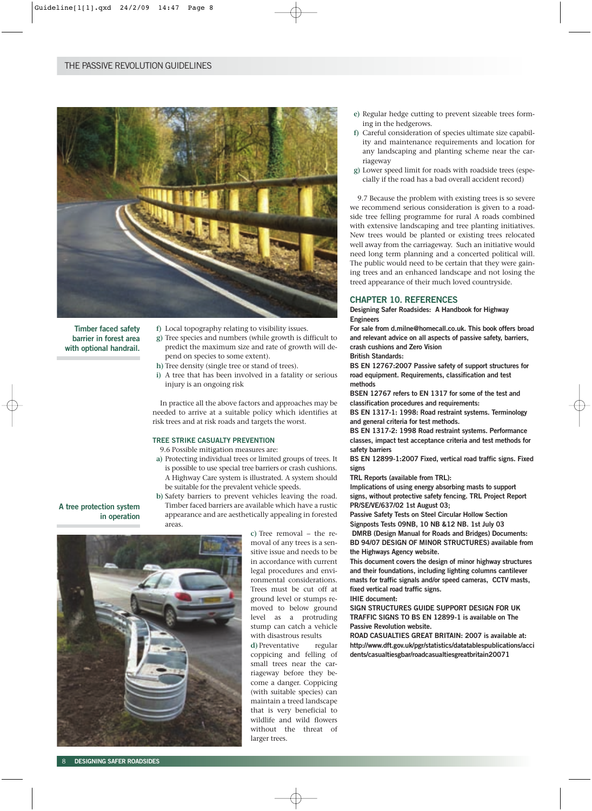

**Timber faced safety barrier in forest area with optional handrail.** **f)** Local topography relating to visibility issues.

- **g)** Tree species and numbers (while growth is difficult to predict the maximum size and rate of growth will depend on species to some extent).
- **h)** Tree density (single tree or stand of trees).
- **i)** A tree that has been involved in a fatality or serious injury is an ongoing risk

In practice all the above factors and approaches may be needed to arrive at a suitable policy which identifies at risk trees and at risk roads and targets the worst.

# **TREE STRIKE CASUALTY PREVENTION**

9.6 Possible mitigation measures are:

**a)** Protecting individual trees or limited groups of trees. It is possible to use special tree barriers or crash cushions. A Highway Care system is illustrated. A system should be suitable for the prevalent vehicle speeds.

**b)** Safety barriers to prevent vehicles leaving the road. Timber faced barriers are available which have a rustic appearance and are aesthetically appealing in forested

**A tree protection system in operation**



areas.

**c)** Tree removal – the removal of any trees is a sensitive issue and needs to be in accordance with current legal procedures and environmental considerations. Trees must be cut off at ground level or stumps removed to below ground level as a protruding stump can catch a vehicle with disastrous results

**d)** Preventative regular coppicing and felling of small trees near the carriageway before they become a danger. Coppicing (with suitable species) can maintain a treed landscape that is very beneficial to wildlife and wild flowers without the threat of larger trees.

- **e)** Regular hedge cutting to prevent sizeable trees forming in the hedgerows.
- **f)** Careful consideration of species ultimate size capability and maintenance requirements and location for any landscaping and planting scheme near the carriageway
- **g)** Lower speed limit for roads with roadside trees (especially if the road has a bad overall accident record)

9.7 Because the problem with existing trees is so severe we recommend serious consideration is given to a roadside tree felling programme for rural A roads combined with extensive landscaping and tree planting initiatives. New trees would be planted or existing trees relocated well away from the carriageway. Such an initiative would need long term planning and a concerted political will. The public would need to be certain that they were gaining trees and an enhanced landscape and not losing the treed appearance of their much loved countryside.

# **CHAPTER 10. REFERENCES**

**Designing Safer Roadsides: A Handbook for Highway Engineers** 

**For sale from d.milne@homecall.co.uk. This book offers broad and relevant advice on all aspects of passive safety, barriers, crash cushions and Zero Vision** 

**British Standards:**

**BS EN 12767:2007 Passive safety of support structures for road equipment. Requirements, classification and test methods** 

**BSEN 12767 refers to EN 1317 for some of the test and classification procedures and requirements:** 

**BS EN 1317-1: 1998: Road restraint systems. Terminology and general criteria for test methods.**

**BS EN 1317-2: 1998 Road restraint systems. Performance classes, impact test acceptance criteria and test methods for safety barriers**

**BS EN 12899-1:2007 Fixed, vertical road traffic signs. Fixed signs**

**TRL Reports (available from TRL):** 

**Implications of using energy absorbing masts to support signs, without protective safety fencing. TRL Project Report PR/SE/VE/637/02 1st August 03;** 

**Passive Safety Tests on Steel Circular Hollow Section Signposts Tests 09NB, 10 NB &12 NB. 1st July 03 DMRB (Design Manual for Roads and Bridges) Documents: BD 94/07 DESIGN OF MINOR STRUCTURES) available from the Highways Agency website.**

**This document covers the design of minor highway structures and their foundations, including lighting columns cantilever masts for traffic signals and/or speed cameras, CCTV masts, fixed vertical road traffic signs.**

**IHIE document:**

**SIGN STRUCTURES GUIDE SUPPORT DESIGN FOR UK TRAFFIC SIGNS TO BS EN 12899-1 is available on The Passive Revolution website.**

**ROAD CASUALTIES GREAT BRITAIN: 2007 is available at: http://www.dft.gov.uk/pgr/statistics/datatablespublications/acci dents/casualtiesgbar/roadcasualtiesgreatbritain20071**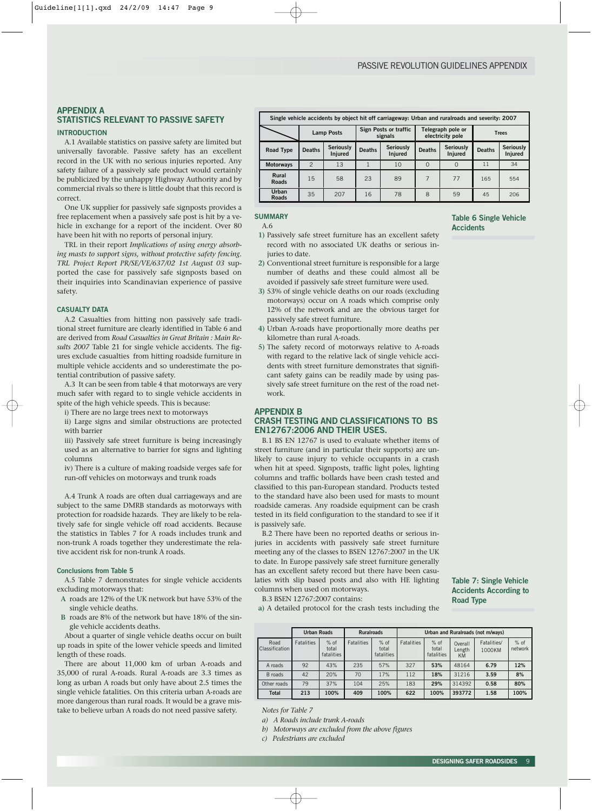# **APPENDIX A STATISTICS RELEVANT TO PASSIVE SAFETY**

# **INTRODUCTION**

A.1 Available statistics on passive safety are limited but universally favorable. Passive safety has an excellent record in the UK with no serious injuries reported. Any safety failure of a passively safe product would certainly be publicized by the unhappy Highway Authority and by commercial rivals so there is little doubt that this record is correct.

One UK supplier for passively safe signposts provides a free replacement when a passively safe post is hit by a vehicle in exchange for a report of the incident. Over 80 have been hit with no reports of personal injury.

TRL in their report *Implications of using energy absorbing masts to support signs, without protective safety fencing. TRL Project Report PR/SE/VE/637/02 1st August 03* supported the case for passively safe signposts based on their inquiries into Scandinavian experience of passive safety.

#### **CASUALTY DATA**

A.2 Casualties from hitting non passively safe traditional street furniture are clearly identified in Table 6 and are derived from *Road Casualties in Great Britain : Main Results 2007* Table 21 for single vehicle accidents. The figures exclude casualties from hitting roadside furniture in multiple vehicle accidents and so underestimate the potential contribution of passive safety.

A.3 It can be seen from table 4 that motorways are very much safer with regard to to single vehicle accidents in spite of the high vehicle speeds. This is because:

i) There are no large trees next to motorways

ii) Large signs and similar obstructions are protected with barrier

iii) Passively safe street furniture is being increasingly used as an alternative to barrier for signs and lighting columns

iv) There is a culture of making roadside verges safe for run-off vehicles on motorways and trunk roads

A.4 Trunk A roads are often dual carriageways and are subject to the same DMRB standards as motorways with protection for roadside hazards. They are likely to be relatively safe for single vehicle off road accidents. Because the statistics in Tables 7 for A roads includes trunk and non-trunk A roads together they underestimate the relative accident risk for non-trunk A roads.

## **Conclusions from Table 5**

A.5 Table 7 demonstrates for single vehicle accidents excluding motorways that:

- **A** roads are 12% of the UK network but have 53% of the single vehicle deaths.
- **B** roads are 8% of the network but have 18% of the single vehicle accidents deaths.

About a quarter of single vehicle deaths occur on built up roads in spite of the lower vehicle speeds and limited length of these roads.

There are about 11,000 km of urban A-roads and 35,000 of rural A-roads. Rural A-roads are 3.3 times as long as urban A roads but only have about 2.5 times the single vehicle fatalities. On this criteria urban A-roads are more dangerous than rural roads. It would be a grave mistake to believe urban A roads do not need passive safety.

|                       | Single vehicle accidents by object hit off carriageway: Urban and ruralroads and severity: 2007 |                                    |                                  |                             |               |                                       |               |                             |  |
|-----------------------|-------------------------------------------------------------------------------------------------|------------------------------------|----------------------------------|-----------------------------|---------------|---------------------------------------|---------------|-----------------------------|--|
|                       |                                                                                                 | <b>Lamp Posts</b>                  | Sign Posts or traffic<br>signals |                             |               | Telegraph pole or<br>electricity pole | <b>Trees</b>  |                             |  |
| <b>Road Type</b>      | <b>Deaths</b>                                                                                   | <b>Seriously</b><br><b>Injured</b> | <b>Deaths</b>                    | <b>Seriously</b><br>Injured | <b>Deaths</b> | <b>Seriously</b><br>Injured           | <b>Deaths</b> | <b>Seriously</b><br>Injured |  |
| <b>Motorways</b>      | $\overline{c}$                                                                                  | 13                                 |                                  | 10                          | $\Omega$      |                                       | 11            | 34                          |  |
| Rural<br><b>Roads</b> | 15                                                                                              | 58                                 | 23                               | 89                          | 7             | 77                                    | 165           | 554                         |  |
| Urban<br><b>Roads</b> | 35                                                                                              | 207                                | 16                               | 78                          | 8             | 59                                    | 45            | 206                         |  |

#### **SUMMARY**

A.6

- **1)** Passively safe street furniture has an excellent safety record with no associated UK deaths or serious injuries to date.
- **2)** Conventional street furniture is responsible for a large number of deaths and these could almost all be avoided if passively safe street furniture were used.
- **3)** 53% of single vehicle deaths on our roads (excluding motorways) occur on A roads which comprise only 12% of the network and are the obvious target for passively safe street furniture.
- **4)** Urban A-roads have proportionally more deaths per kilometre than rural A-roads.
- **5)** The safety record of motorways relative to A-roads with regard to the relative lack of single vehicle accidents with street furniture demonstrates that significant safety gains can be readily made by using passively safe street furniture on the rest of the road network.

#### **APPENDIX B**

# **CRASH TESTING AND CLASSIFICATIONS TO BS EN12767:2006 AND THEIR USES.**

B.1 BS EN 12767 is used to evaluate whether items of street furniture (and in particular their supports) are unlikely to cause injury to vehicle occupants in a crash when hit at speed. Signposts, traffic light poles, lighting columns and traffic bollards have been crash tested and classified to this pan-European standard. Products tested to the standard have also been used for masts to mount roadside cameras. Any roadside equipment can be crash tested in its field configuration to the standard to see if it is passively safe.

B.2 There have been no reported deaths or serious injuries in accidents with passively safe street furniture meeting any of the classes to BSEN 12767:2007 in the UK to date. In Europe passively safe street furniture generally has an excellent safety record but there have been casulaties with slip based posts and also with HE lighting columns when used on motorways.

B.3 BSEN 12767:2007 contains:

**a)** A detailed protocol for the crash tests including the

|                               | <b>Urban Roads</b> |                               |                   | <b>Ruralroads</b><br>Urban and Ruralroads (not m/ways) |                   |                               |                                |                       |                   |
|-------------------------------|--------------------|-------------------------------|-------------------|--------------------------------------------------------|-------------------|-------------------------------|--------------------------------|-----------------------|-------------------|
| Road<br><b>Classification</b> | <b>Fatalities</b>  | $%$ of<br>total<br>fatalities | <b>Fatalities</b> | $%$ of<br>total<br>fatalities                          | <b>Fatalities</b> | $%$ of<br>total<br>fatalities | Overall<br>Length<br><b>KM</b> | Fatalities/<br>1000KM | $%$ of<br>network |
| A roads                       | 92                 | 43%                           | 235               | 57%                                                    | 327               | 53%                           | 48164                          | 6.79                  | 12%               |
| B roads                       | 42                 | 20%                           | 70                | 17%                                                    | 112               | 18%                           | 31216                          | 3.59                  | 8%                |
| Other roads                   | 79                 | 37%                           | 104               | 25%                                                    | 183               | 29%                           | 314392                         | 0.58                  | 80%               |
| <b>Total</b>                  | 213                | 100%                          | 409               | 100%                                                   | 622               | 100%                          | 393772                         | 1.58                  | 100%              |

*Notes for Table 7*

*c) Pedestrians are excluded*

# **Table 6 Single Vehicle Accidents**

**Table 7: Single Vehicle Accidents According to**

**Road Type**

*a) A Roads include trunk A-roads*

*b) Motorways are excluded from the above figures*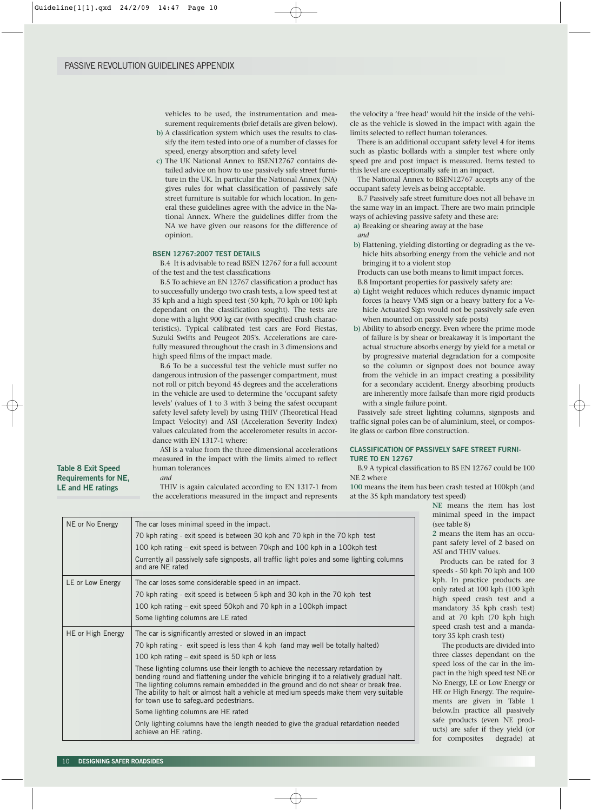vehicles to be used, the instrumentation and measurement requirements (brief details are given below).

- **b)** A classification system which uses the results to classify the item tested into one of a number of classes for speed, energy absorption and safety level
- **c)** The UK National Annex to BSEN12767 contains detailed advice on how to use passively safe street furniture in the UK. In particular the National Annex (NA) gives rules for what classification of passively safe street furniture is suitable for which location. In general these guidelines agree with the advice in the National Annex. Where the guidelines differ from the NA we have given our reasons for the difference of opinion.

#### **BSEN 12767:2007 TEST DETAILS**

B.4 It is advisable to read BSEN 12767 for a full account of the test and the test classifications

B.5 To achieve an EN 12767 classification a product has to successfully undergo two crash tests, a low speed test at 35 kph and a high speed test (50 kph, 70 kph or 100 kph dependant on the classification sought). The tests are done with a light 900 kg car (with specified crush characteristics). Typical calibrated test cars are Ford Fiestas, Suzuki Swifts and Peugeot 205's. Accelerations are carefully measured throughout the crash in 3 dimensions and high speed films of the impact made.

B.6 To be a successful test the vehicle must suffer no dangerous intrusion of the passenger compartment, must not roll or pitch beyond 45 degrees and the accelerations in the vehicle are used to determine the 'occupant safety levels' (values of 1 to 3 with 3 being the safest occupant safety level safety level) by using THIV (Theoretical Head Impact Velocity) and ASI (Acceleration Severity Index) values calculated from the accelerometer results in accordance with EN 1317-1 where:

ASI is a value from the three dimensional accelerations measured in the impact with the limits aimed to reflect human tolerances

*and*

THIV is again calculated according to EN 1317-1 from the accelerations measured in the impact and represents

the velocity a 'free head' would hit the inside of the vehicle as the vehicle is slowed in the impact with again the limits selected to reflect human tolerances.

There is an additional occupant safety level 4 for items such as plastic bollards with a simpler test where only speed pre and post impact is measured. Items tested to this level are exceptionally safe in an impact.

The National Annex to BSEN12767 accepts any of the occupant safety levels as being acceptable.

B.7 Passively safe street furniture does not all behave in the same way in an impact. There are two main principle ways of achieving passive safety and these are:

- **a)** Breaking or shearing away at the base
- *and*
- **b)** Flattening, yielding distorting or degrading as the vehicle hits absorbing energy from the vehicle and not bringing it to a violent stop

Products can use both means to limit impact forces. B.8 Important properties for passively safety are:

- **a)** Light weight reduces which reduces dynamic impact forces (a heavy VMS sign or a heavy battery for a Vehicle Actuated Sign would not be passively safe even
- when mounted on passively safe posts) **b)** Ability to absorb energy. Even where the prime mode of failure is by shear or breakaway it is important the actual structure absorbs energy by yield for a metal or by progressive material degradation for a composite so the column or signpost does not bounce away from the vehicle in an impact creating a possibility for a secondary accident. Energy absorbing products are inherently more failsafe than more rigid products with a single failure point.

Passively safe street lighting columns, signposts and traffic signal poles can be of aluminium, steel, or composite glass or carbon fibre construction.

# **CLASSIFICATION OF PASSIVELY SAFE STREET FURNI-TURE TO EN 12767**

B.9 A typical classification to BS EN 12767 could be 100 NE 2 where

**100** means the item has been crash tested at 100kph (and at the 35 kph mandatory test speed)

| NE or No Energy   | The car loses minimal speed in the impact.                                                                                                                                     |
|-------------------|--------------------------------------------------------------------------------------------------------------------------------------------------------------------------------|
|                   | 70 kph rating - exit speed is between 30 kph and 70 kph in the 70 kph test                                                                                                     |
|                   | 100 kph rating – exit speed is between 70 kph and 100 kph in a 100 kph test                                                                                                    |
|                   | Currently all passively safe signposts, all traffic light poles and some lighting columns<br>and are NE rated                                                                  |
| LE or Low Energy  | The car loses some considerable speed in an impact.                                                                                                                            |
|                   | 70 kph rating - exit speed is between 5 kph and 30 kph in the 70 kph test                                                                                                      |
|                   | 100 kph rating – exit speed 50kph and 70 kph in a 100kph impact                                                                                                                |
|                   | Some lighting columns are LE rated                                                                                                                                             |
| HE or High Energy | The car is significantly arrested or slowed in an impact                                                                                                                       |
|                   | 70 kph rating - exit speed is less than 4 kph (and may well be totally halted)                                                                                                 |
|                   | 100 kph rating - exit speed is 50 kph or less                                                                                                                                  |
|                   | These lighting columns use their length to achieve the necessary retardation by                                                                                                |
|                   | bending round and flattening under the vehicle bringing it to a relatively gradual halt.<br>The lighting columns remain embedded in the ground and do not shear or break free. |
|                   | The ability to halt or almost halt a vehicle at medium speeds make them very suitable                                                                                          |
|                   | for town use to safeguard pedestrians.                                                                                                                                         |
|                   | Some lighting columns are HE rated                                                                                                                                             |
|                   | Only lighting columns have the length needed to give the gradual retardation needed                                                                                            |
|                   | achieve an HE rating.                                                                                                                                                          |

**NE** means the item has lost minimal speed in the impact table 8)

**2** ans the item has an occusafety level of 2 based on nd THIV values.

oducts can be rated for 3 ds - 50 kph 70 kph and 100 In practice products are rated at 100 kph (100 kph speed crash test and a datory 35 kph crash test) at 70 kph (70 kph high d crash test and a manda-35 kph crash test)

ne products are divided into classes dependant on the d loss of the car in the imin the high speed test NE or nergy, LE or Low Energy or r High Energy. The requirets are given in Table 1 v.In practice all passively products (even NE prodare safer if they yield (or for composites degrade) at

**Table 8 Exit Speed Requirements for NE, LE and HE ratings**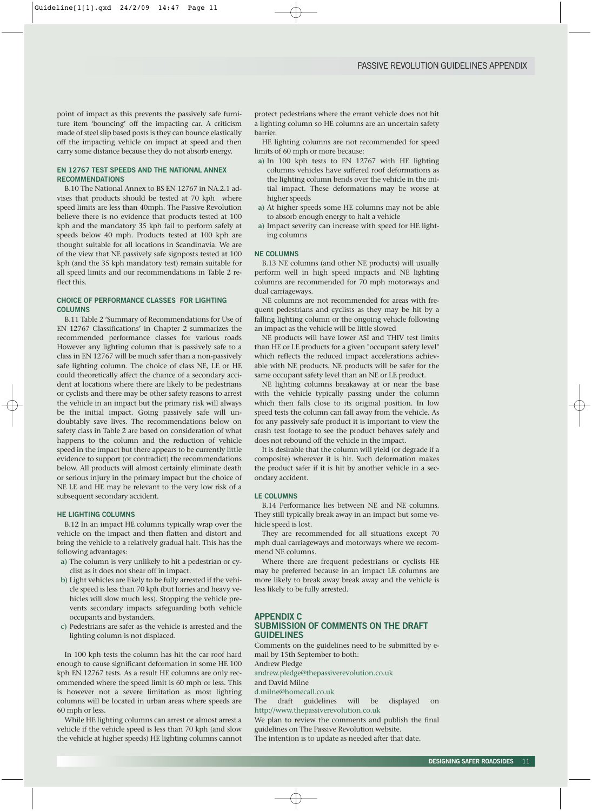point of impact as this prevents the passively safe furniture item 'bouncing' off the impacting car. A criticism made of steel slip based posts is they can bounce elastically off the impacting vehicle on impact at speed and then carry some distance because they do not absorb energy.

# **EN 12767 TEST SPEEDS AND THE NATIONAL ANNEX RECOMMENDATIONS**

B.10 The National Annex to BS EN 12767 in NA.2.1 advises that products should be tested at 70 kph where speed limits are less than 40mph. The Passive Revolution believe there is no evidence that products tested at 100 kph and the mandatory 35 kph fail to perform safely at speeds below 40 mph. Products tested at 100 kph are thought suitable for all locations in Scandinavia. We are of the view that NE passively safe signposts tested at 100 kph (and the 35 kph mandatory test) remain suitable for all speed limits and our recommendations in Table 2 reflect this.

# **CHOICE OF PERFORMANCE CLASSES FOR LIGHTING COLUMNS**

B.11 Table 2 'Summary of Recommendations for Use of EN 12767 Classifications' in Chapter 2 summarizes the recommended performance classes for various roads However any lighting column that is passively safe to a class in EN 12767 will be much safer than a non-passively safe lighting column. The choice of class NE, LE or HE could theoretically affect the chance of a secondary accident at locations where there are likely to be pedestrians or cyclists and there may be other safety reasons to arrest the vehicle in an impact but the primary risk will always be the initial impact. Going passively safe will undoubtably save lives. The recommendations below on safety class in Table 2 are based on consideration of what happens to the column and the reduction of vehicle speed in the impact but there appears to be currently little evidence to support (or contradict) the recommendations below. All products will almost certainly eliminate death or serious injury in the primary impact but the choice of NE LE and HE may be relevant to the very low risk of a subsequent secondary accident.

#### **HE LIGHTING COLUMNS**

B.12 In an impact HE columns typically wrap over the vehicle on the impact and then flatten and distort and bring the vehicle to a relatively gradual halt. This has the following advantages:

- **a)** The column is very unlikely to hit a pedestrian or cyclist as it does not shear off in impact.
- **b)** Light vehicles are likely to be fully arrested if the vehicle speed is less than 70 kph (but lorries and heavy vehicles will slow much less). Stopping the vehicle prevents secondary impacts safeguarding both vehicle occupants and bystanders.
- **c)** Pedestrians are safer as the vehicle is arrested and the lighting column is not displaced.

In 100 kph tests the column has hit the car roof hard enough to cause significant deformation in some HE 100 kph EN 12767 tests. As a result HE columns are only recommended where the speed limit is 60 mph or less. This is however not a severe limitation as most lighting columns will be located in urban areas where speeds are 60 mph or less.

While HE lighting columns can arrest or almost arrest a vehicle if the vehicle speed is less than 70 kph (and slow the vehicle at higher speeds) HE lighting columns cannot

protect pedestrians where the errant vehicle does not hit a lighting column so HE columns are an uncertain safety barrier.

HE lighting columns are not recommended for speed limits of 60 mph or more because:

- **a)** In 100 kph tests to EN 12767 with HE lighting columns vehicles have suffered roof deformations as the lighting column bends over the vehicle in the initial impact. These deformations may be worse at higher speeds
- **a)** At higher speeds some HE columns may not be able to absorb enough energy to halt a vehicle
- **a)** Impact severity can increase with speed for HE lighting columns

#### **NE COLUMNS**

B.13 NE columns (and other NE products) will usually perform well in high speed impacts and NE lighting columns are recommended for 70 mph motorways and dual carriageways.

NE columns are not recommended for areas with frequent pedestrians and cyclists as they may be hit by a falling lighting column or the ongoing vehicle following an impact as the vehicle will be little slowed

NE products will have lower ASI and THIV test limits than HE or LE products for a given "occupant safety level" which reflects the reduced impact accelerations achievable with NE products. NE products will be safer for the same occupant safety level than an NE or LE product.

NE lighting columns breakaway at or near the base with the vehicle typically passing under the column which then falls close to its original position. In low speed tests the column can fall away from the vehicle. As for any passively safe product it is important to view the crash test footage to see the product behaves safely and does not rebound off the vehicle in the impact.

It is desirable that the column will yield (or degrade if a composite) wherever it is hit. Such deformation makes the product safer if it is hit by another vehicle in a secondary accident.

#### **LE COLUMNS**

B.14 Performance lies between NE and NE columns. They still typically break away in an impact but some vehicle speed is lost.

They are recommended for all situations except 70 mph dual carriageways and motorways where we recommend NE columns.

Where there are frequent pedestrians or cyclists HE may be preferred because in an impact LE columns are more likely to break away break away and the vehicle is less likely to be fully arrested.

#### **APPENDIX C SUBMISSION OF COMMENTS ON THE DRAFT GUIDELINES**

Comments on the guidelines need to be submitted by email by 15th September to both: Andrew Pledge

andrew.pledge@thepassiverevolution.co.uk and David Milne

d.milne@homecall.co.uk

The draft guidelines will be displayed on http://www.thepassiverevolution.co.uk

We plan to review the comments and publish the final guidelines on The Passive Revolution website.

The intention is to update as needed after that date.